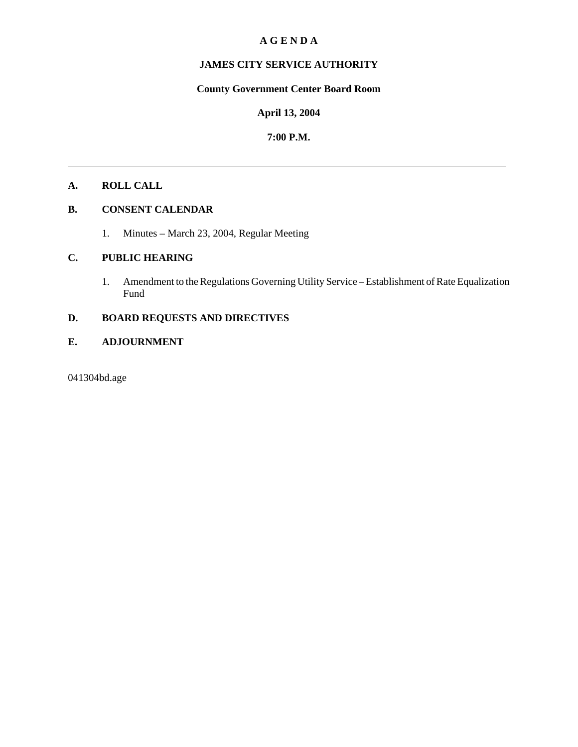## **A G E N D A**

# **JAMES CITY SERVICE AUTHORITY**

# **County Government Center Board Room**

#### **April 13, 2004**

## **7:00 P.M.**

# **A. ROLL CALL**

# **B. CONSENT CALENDAR**

1. Minutes – March 23, 2004, Regular Meeting

## **C. PUBLIC HEARING**

1. Amendment to the Regulations Governing Utility Service – Establishment of Rate Equalization Fund

# **D. BOARD REQUESTS AND DIRECTIVES**

# **E. ADJOURNMENT**

041304bd.age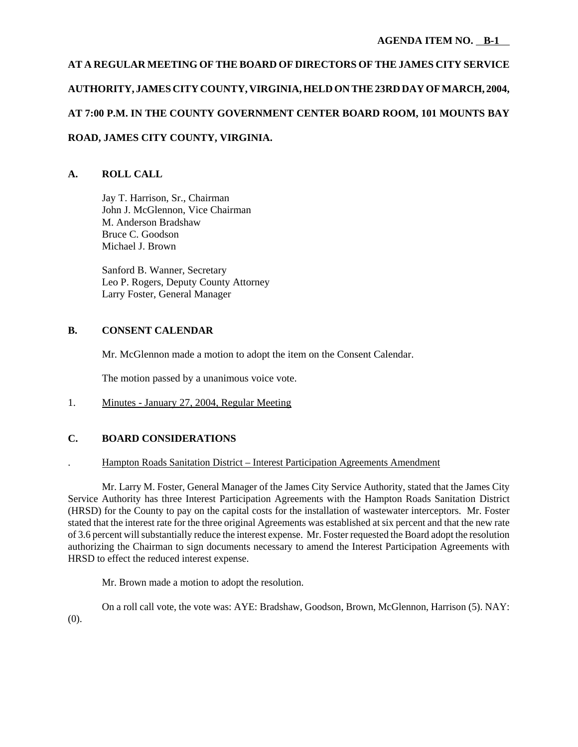# **AT A REGULAR MEETING OF THE BOARD OF DIRECTORS OF THE JAMES CITY SERVICE AUTHORITY, JAMES CITY COUNTY, VIRGINIA, HELD ON THE 23RD DAY OF MARCH, 2004, AT 7:00 P.M. IN THE COUNTY GOVERNMENT CENTER BOARD ROOM, 101 MOUNTS BAY ROAD, JAMES CITY COUNTY, VIRGINIA.**

# **A. ROLL CALL**

Jay T. Harrison, Sr., Chairman John J. McGlennon, Vice Chairman M. Anderson Bradshaw Bruce C. Goodson Michael J. Brown

Sanford B. Wanner, Secretary Leo P. Rogers, Deputy County Attorney Larry Foster, General Manager

## **B. CONSENT CALENDAR**

Mr. McGlennon made a motion to adopt the item on the Consent Calendar.

The motion passed by a unanimous voice vote.

1. Minutes - January 27, 2004, Regular Meeting

# **C. BOARD CONSIDERATIONS**

### . Hampton Roads Sanitation District – Interest Participation Agreements Amendment

Mr. Larry M. Foster, General Manager of the James City Service Authority, stated that the James City Service Authority has three Interest Participation Agreements with the Hampton Roads Sanitation District (HRSD) for the County to pay on the capital costs for the installation of wastewater interceptors. Mr. Foster stated that the interest rate for the three original Agreements was established at six percent and that the new rate of 3.6 percent will substantially reduce the interest expense. Mr. Foster requested the Board adopt the resolution authorizing the Chairman to sign documents necessary to amend the Interest Participation Agreements with HRSD to effect the reduced interest expense.

Mr. Brown made a motion to adopt the resolution.

On a roll call vote, the vote was: AYE: Bradshaw, Goodson, Brown, McGlennon, Harrison (5). NAY: (0).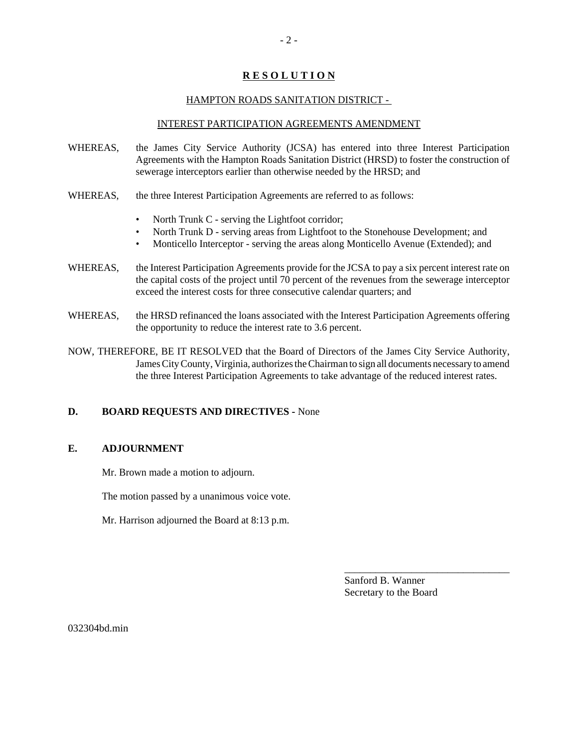# **R E S O L U T I O N**

#### HAMPTON ROADS SANITATION DISTRICT -

#### INTEREST PARTICIPATION AGREEMENTS AMENDMENT

- WHEREAS, the James City Service Authority (JCSA) has entered into three Interest Participation Agreements with the Hampton Roads Sanitation District (HRSD) to foster the construction of sewerage interceptors earlier than otherwise needed by the HRSD; and
- WHEREAS, the three Interest Participation Agreements are referred to as follows:
	- North Trunk C serving the Lightfoot corridor;
	- North Trunk D serving areas from Lightfoot to the Stonehouse Development; and
	- Monticello Interceptor serving the areas along Monticello Avenue (Extended); and
- WHEREAS, the Interest Participation Agreements provide for the JCSA to pay a six percent interest rate on the capital costs of the project until 70 percent of the revenues from the sewerage interceptor exceed the interest costs for three consecutive calendar quarters; and
- WHEREAS, the HRSD refinanced the loans associated with the Interest Participation Agreements offering the opportunity to reduce the interest rate to 3.6 percent.
- NOW, THEREFORE, BE IT RESOLVED that the Board of Directors of the James City Service Authority, James City County, Virginia, authorizes the Chairman to sign all documents necessary to amend the three Interest Participation Agreements to take advantage of the reduced interest rates.

### **D. BOARD REQUESTS AND DIRECTIVES -** None

### **E. ADJOURNMENT**

Mr. Brown made a motion to adjourn.

The motion passed by a unanimous voice vote.

Mr. Harrison adjourned the Board at 8:13 p.m.

Sanford B. Wanner Secretary to the Board

\_\_\_\_\_\_\_\_\_\_\_\_\_\_\_\_\_\_\_\_\_\_\_\_\_\_\_\_\_\_\_\_

032304bd.min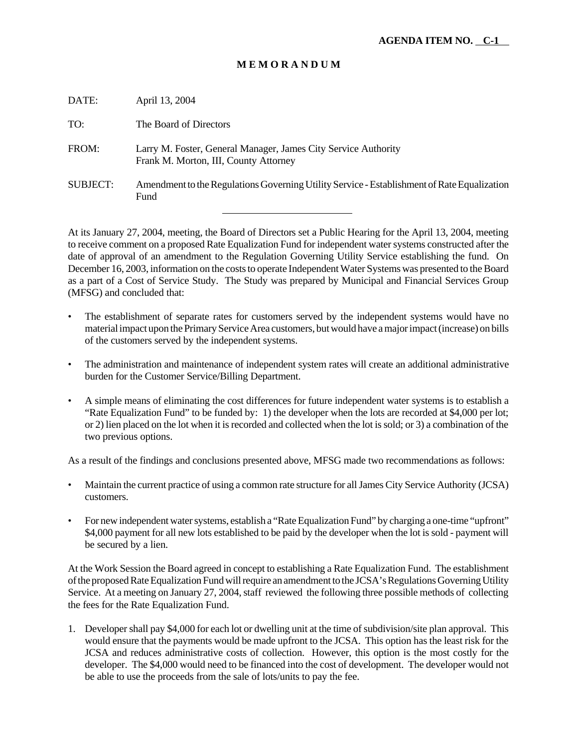## **M E M O R A N D U M**

| DATE:           | April 13, 2004                                                                                          |
|-----------------|---------------------------------------------------------------------------------------------------------|
| TO:             | The Board of Directors                                                                                  |
| FROM:           | Larry M. Foster, General Manager, James City Service Authority<br>Frank M. Morton, III, County Attorney |
| <b>SUBJECT:</b> | Amendment to the Regulations Governing Utility Service - Establishment of Rate Equalization<br>Fund     |
|                 |                                                                                                         |

At its January 27, 2004, meeting, the Board of Directors set a Public Hearing for the April 13, 2004, meeting to receive comment on a proposed Rate Equalization Fund for independent water systems constructed after the date of approval of an amendment to the Regulation Governing Utility Service establishing the fund. On December 16, 2003, information on the costs to operate Independent Water Systems was presented to the Board as a part of a Cost of Service Study. The Study was prepared by Municipal and Financial Services Group (MFSG) and concluded that:

- The establishment of separate rates for customers served by the independent systems would have no material impact upon the Primary Service Area customers, but would have a major impact (increase) on bills of the customers served by the independent systems.
- The administration and maintenance of independent system rates will create an additional administrative burden for the Customer Service/Billing Department.
- A simple means of eliminating the cost differences for future independent water systems is to establish a "Rate Equalization Fund" to be funded by: 1) the developer when the lots are recorded at \$4,000 per lot; or 2) lien placed on the lot when it is recorded and collected when the lot is sold; or 3) a combination of the two previous options.

As a result of the findings and conclusions presented above, MFSG made two recommendations as follows:

- Maintain the current practice of using a common rate structure for all James City Service Authority (JCSA) customers.
- For new independent water systems, establish a "Rate Equalization Fund" by charging a one-time "upfront" \$4,000 payment for all new lots established to be paid by the developer when the lot is sold - payment will be secured by a lien.

At the Work Session the Board agreed in concept to establishing a Rate Equalization Fund. The establishment of the proposed Rate Equalization Fund will require an amendment to the JCSA's Regulations Governing Utility Service. At a meeting on January 27, 2004, staff reviewed the following three possible methods of collecting the fees for the Rate Equalization Fund.

1. Developer shall pay \$4,000 for each lot or dwelling unit at the time of subdivision/site plan approval. This would ensure that the payments would be made upfront to the JCSA. This option has the least risk for the JCSA and reduces administrative costs of collection. However, this option is the most costly for the developer. The \$4,000 would need to be financed into the cost of development. The developer would not be able to use the proceeds from the sale of lots/units to pay the fee.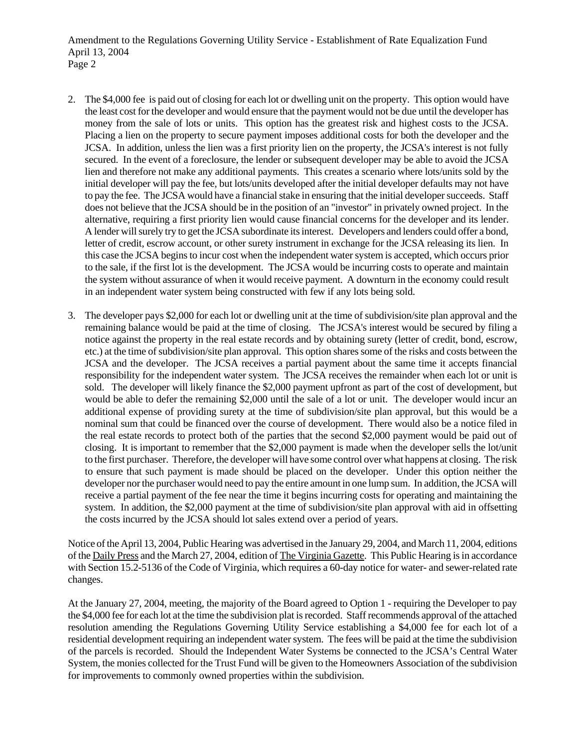Amendment to the Regulations Governing Utility Service - Establishment of Rate Equalization Fund April 13, 2004 Page 2

- 2. The \$4,000 fee is paid out of closing for each lot or dwelling unit on the property. This option would have the least cost for the developer and would ensure that the payment would not be due until the developer has money from the sale of lots or units. This option has the greatest risk and highest costs to the JCSA. Placing a lien on the property to secure payment imposes additional costs for both the developer and the JCSA. In addition, unless the lien was a first priority lien on the property, the JCSA's interest is not fully secured. In the event of a foreclosure, the lender or subsequent developer may be able to avoid the JCSA lien and therefore not make any additional payments. This creates a scenario where lots/units sold by the initial developer will pay the fee, but lots/units developed after the initial developer defaults may not have to pay the fee. The JCSA would have a financial stake in ensuring that the initial developer succeeds. Staff does not believe that the JCSA should be in the position of an "investor" in privately owned project. In the alternative, requiring a first priority lien would cause financial concerns for the developer and its lender. A lender will surely try to get the JCSA subordinate its interest. Developers and lenders could offer a bond, letter of credit, escrow account, or other surety instrument in exchange for the JCSA releasing its lien. In this case the JCSA begins to incur cost when the independent water system is accepted, which occurs prior to the sale, if the first lot is the development. The JCSA would be incurring costs to operate and maintain the system without assurance of when it would receive payment. A downturn in the economy could result in an independent water system being constructed with few if any lots being sold.
- 3. The developer pays \$2,000 for each lot or dwelling unit at the time of subdivision/site plan approval and the remaining balance would be paid at the time of closing. The JCSA's interest would be secured by filing a notice against the property in the real estate records and by obtaining surety (letter of credit, bond, escrow, etc.) at the time of subdivision/site plan approval. This option shares some of the risks and costs between the JCSA and the developer. The JCSA receives a partial payment about the same time it accepts financial responsibility for the independent water system. The JCSA receives the remainder when each lot or unit is sold. The developer will likely finance the \$2,000 payment upfront as part of the cost of development, but would be able to defer the remaining \$2,000 until the sale of a lot or unit. The developer would incur an additional expense of providing surety at the time of subdivision/site plan approval, but this would be a nominal sum that could be financed over the course of development. There would also be a notice filed in the real estate records to protect both of the parties that the second \$2,000 payment would be paid out of closing. It is important to remember that the \$2,000 payment is made when the developer sells the lot/unit to the first purchaser. Therefore, the developer will have some control over what happens at closing. The risk to ensure that such payment is made should be placed on the developer. Under this option neither the developer nor the purchaser would need to pay the entire amount in one lump sum. In addition, the JCSA will receive a partial payment of the fee near the time it begins incurring costs for operating and maintaining the system. In addition, the \$2,000 payment at the time of subdivision/site plan approval with aid in offsetting the costs incurred by the JCSA should lot sales extend over a period of years.

Notice of the April 13, 2004, Public Hearing was advertised in the January 29, 2004, and March 11, 2004, editions of the Daily Press and the March 27, 2004, edition of The Virginia Gazette. This Public Hearing is in accordance with Section 15.2-5136 of the Code of Virginia, which requires a 60-day notice for water- and sewer-related rate changes.

At the January 27, 2004, meeting, the majority of the Board agreed to Option 1 - requiring the Developer to pay the \$4,000 fee for each lot at the time the subdivision plat is recorded. Staff recommends approval of the attached resolution amending the Regulations Governing Utility Service establishing a \$4,000 fee for each lot of a residential development requiring an independent water system. The fees will be paid at the time the subdivision of the parcels is recorded. Should the Independent Water Systems be connected to the JCSA's Central Water System, the monies collected for the Trust Fund will be given to the Homeowners Association of the subdivision for improvements to commonly owned properties within the subdivision.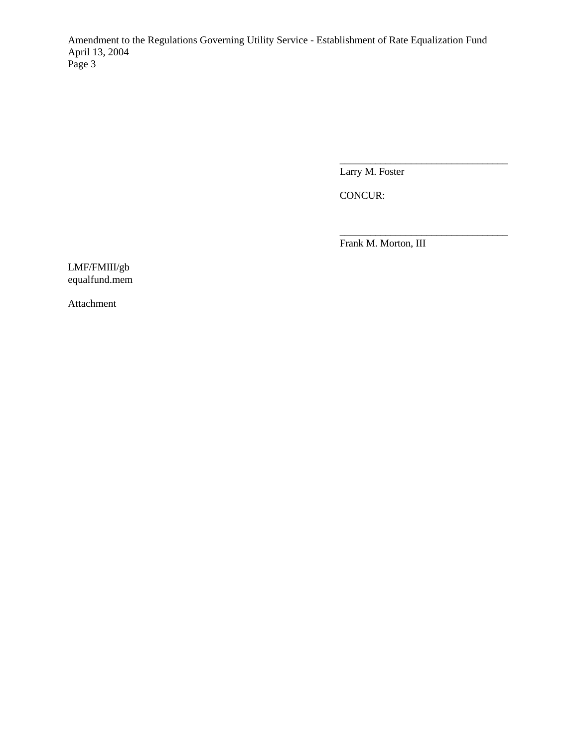Amendment to the Regulations Governing Utility Service - Establishment of Rate Equalization Fund April 13, 2004 Page 3

Larry M. Foster

\_\_\_\_\_\_\_\_\_\_\_\_\_\_\_\_\_\_\_\_\_\_\_\_\_\_\_\_\_\_\_\_\_

\_\_\_\_\_\_\_\_\_\_\_\_\_\_\_\_\_\_\_\_\_\_\_\_\_\_\_\_\_\_\_\_\_

CONCUR:

Frank M. Morton, III

LMF/FMIII/gb equalfund.mem

Attachment